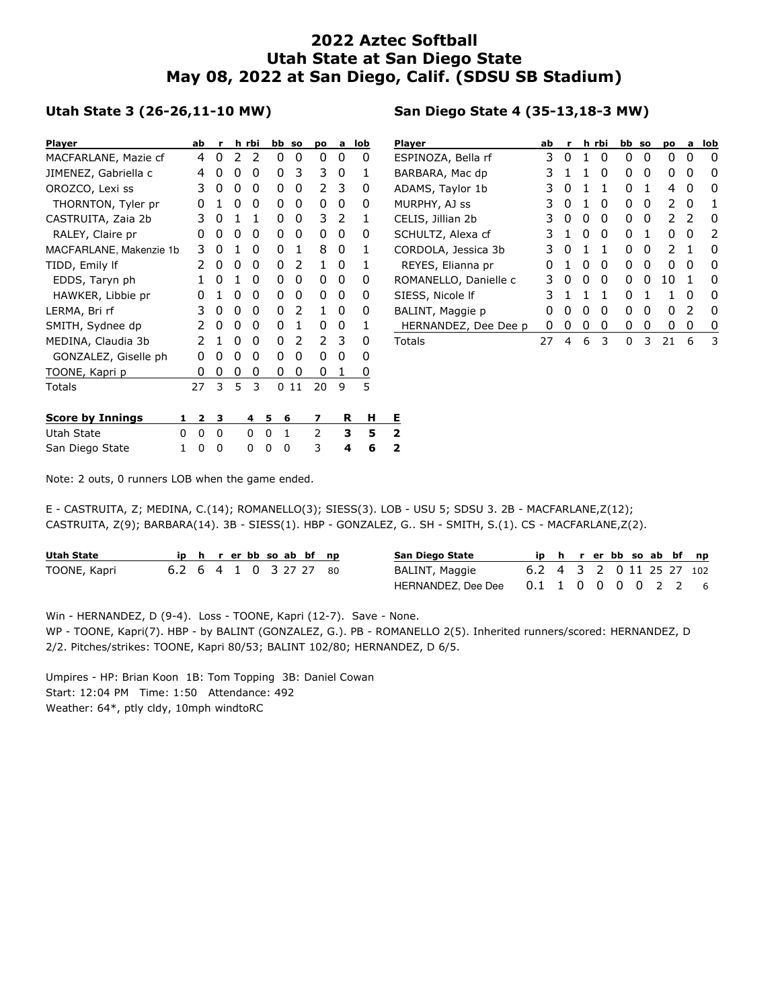## **2022 Aztec Softball Utah State at San Diego State May 08, 2022 at San Diego, Calif. (SDSU SB Stadium)**

## **Utah State 3 (26-26,11-10 MW)**

| <b>Player</b>           |    | ab | r |   | h rbi | bb | <b>SO</b>    | po | a | lob | PI |
|-------------------------|----|----|---|---|-------|----|--------------|----|---|-----|----|
| MACFARLANE, Mazie cf    |    | 4  | 0 | 2 | 2     | 0  | 0            | 0  | 0 | 0   | E. |
| JIMENEZ, Gabriella c    |    | 4  | 0 | 0 | 0     | 0  | 3            | 3  | 0 | 1   | B, |
| OROZCO, Lexi ss         |    | 3  | 0 | 0 | 0     | 0  | 0            | 2  | 3 | 0   | Al |
| THORNTON, Tyler pr      |    | 0  | 1 | 0 | 0     | 0  | 0            | 0  | 0 | 0   | М  |
| CASTRUITA, Zaia 2b      |    | 3  | 0 | 1 | 1     | 0  | 0            | 3  | 2 | 1   | CI |
| RALEY, Claire pr        |    | O  | 0 | 0 | 0     | 0  | 0            | 0  | 0 | 0   | S٥ |
| MACFARLANE, Makenzie 1b |    | 3  | 0 | 1 | 0     | 0  | 1            | 8  | 0 | 1   | C١ |
| TIDD, Emily If          |    | 2  | 0 | 0 | 0     | 0  | 2            | 1  | 0 | 1   |    |
| EDDS, Taryn ph          |    | 1  | 0 | 1 | 0     | 0  | 0            | 0  | 0 | 0   | R١ |
| HAWKER, Libbie pr       |    | 0  | 1 | 0 | 0     | 0  | 0            | 0  | 0 | 0   | SI |
| LERMA, Bri rf           |    | 3  | 0 | 0 | 0     | 0  | 2            | 1  | 0 | 0   | B, |
| SMITH, Sydnee dp        |    | 2  | 0 | 0 | 0     | 0  | 1            | 0  | 0 | 1   |    |
| MEDINA, Claudia 3b      |    | 2  | 1 | 0 | 0     | 0  | 2            | 2  | 3 | 0   | Т٥ |
| GONZALEZ, Giselle ph    |    | 0  | 0 | 0 | 0     | 0  | 0            | 0  | 0 | 0   |    |
| TOONE, Kapri p          |    | 0  | 0 | 0 | 0     | 0  | 0            | 0  | 1 | 0   |    |
| Totals                  | 27 |    | 3 | 5 | 3     | 0  | 11           | 20 | 9 | 5   |    |
|                         |    |    |   |   |       |    |              |    |   |     |    |
| <b>Score by Innings</b> | 1  | 2  | з |   | 4     | 5  | 6            | 7  | R | н   | E. |
| Utah State              | 0  | 0  | 0 |   | 0     | 0  | $\mathbf{1}$ | 2  | з | 5   | 2  |
| San Diego State         | 1  | 0  | 0 |   | 0     | 0  | 0            | 3  | 4 | 6   | 2  |

|  | San Diego State 4 (35-13,18-3 MW) |  |  |  |  |  |  |  |
|--|-----------------------------------|--|--|--|--|--|--|--|
|--|-----------------------------------|--|--|--|--|--|--|--|

| Player                | ab | r            |   | h rbi | bb so |   | pо | a            | lob |
|-----------------------|----|--------------|---|-------|-------|---|----|--------------|-----|
| ESPINOZA, Bella rf    | 3  | $\mathbf{0}$ |   | O     | O     | O | O  | O            |     |
| BARBARA, Mac dp       | 3  | 1            | 1 | O     | O     | O | O  | 0            |     |
| ADAMS, Taylor 1b      | 3  | $\mathbf{0}$ | 1 | 1     | O     | 1 | 4  | $\mathbf{I}$ | O   |
| MURPHY, AJ ss         | 3  | 0            | 1 | 0     | 0     | O | 2  | $\mathbf{0}$ |     |
| CELIS, Jillian 2b     | 3  | O            | O | O     | O     | O | 2  | 2            | n   |
| SCHULTZ, Alexa cf     | 3  | 1            | O | O     | O     | 1 | O  | n            | 2   |
| CORDOLA, Jessica 3b   | 3  | $\mathbf{0}$ | 1 | 1     | O     | O | 2  | 1            | O   |
| REYES, Elianna pr     | O  | 1            | O | O     | O     | O | O  | $\mathbf{I}$ | O   |
| ROMANELLO, Danielle c | 3  | n            | O | O     | ი     | O | 10 | 1            |     |
| SIESS, Nicole If      | 3  | 1            | 1 | 1     | O     | 1 | 1  | n            | O   |
| BALINT, Maggie p      | O  | 0            | O | O     | n     | n | O  | 2            | O   |
| HERNANDEZ, Dee Dee p  | O  | 0            | 0 | 0     | ი     | 0 | 0  | 0            | 0   |
| Totals                | 27 | 4            | 6 | 3     | ŋ     | ٦ | 21 | 6            | 3   |

Note: 2 outs, 0 runners LOB when the game ended.

E - CASTRUITA, Z; MEDINA, C.(14); ROMANELLO(3); SIESS(3). LOB - USU 5; SDSU 3. 2B - MACFARLANE,Z(12); CASTRUITA, Z(9); BARBARA(14). 3B - SIESS(1). HBP - GONZALEZ, G.. SH - SMITH, S.(1). CS - MACFARLANE,Z(2).

| Utah State   |                        |  |  |  | ip h r er bb so ab bf np | San Diego State    |                          |  |  |  | ip h r er bb so ab bf np |
|--------------|------------------------|--|--|--|--------------------------|--------------------|--------------------------|--|--|--|--------------------------|
| TOONE, Kapri | 6.2 6 4 1 0 3 27 27 80 |  |  |  |                          | BALINT, Maggie     | 6.2 4 3 2 0 11 25 27 102 |  |  |  |                          |
|              |                        |  |  |  |                          | HERNANDEZ, Dee Dee | 0.1 1 0 0 0 0 2 2 6      |  |  |  |                          |

Win - HERNANDEZ, D (9-4). Loss - TOONE, Kapri (12-7). Save - None. WP - TOONE, Kapri(7). HBP - by BALINT (GONZALEZ, G.). PB - ROMANELLO 2(5). Inherited runners/scored: HERNANDEZ, D 2/2. Pitches/strikes: TOONE, Kapri 80/53; BALINT 102/80; HERNANDEZ, D 6/5.

Umpires - HP: Brian Koon 1B: Tom Topping 3B: Daniel Cowan Start: 12:04 PM Time: 1:50 Attendance: 492 Weather: 64\*, ptly cldy, 10mph windtoRC